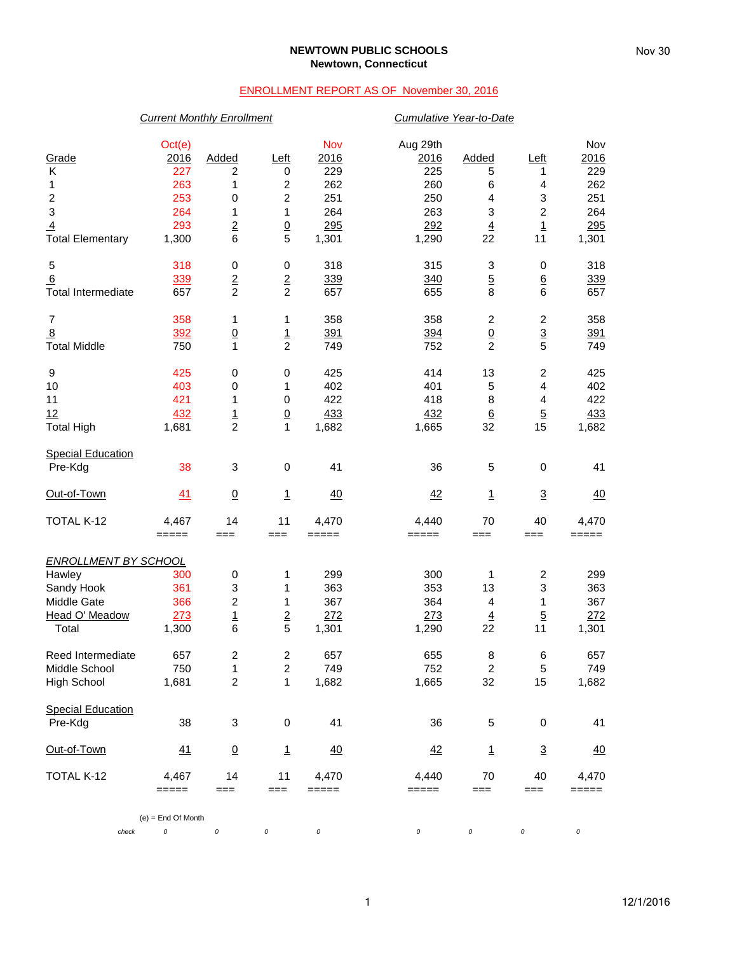### **NEWTOWN PUBLIC SCHOOLS Newtown, Connecticut**

## ENROLLMENT REPORT AS OF November 30, 2016

### *Current Monthly Enrollment Cumulative Year-to-Date*

| Grade<br>Κ<br>1<br>$\overline{\mathbf{c}}$ | Oct(e)<br>2016<br>227<br>263<br>253 | Added<br>2<br>1<br>0             | Left<br>0<br>$\overline{c}$<br>$\boldsymbol{2}$ | Nov<br>2016<br>229<br>262<br>251 | Aug 29th<br>2016<br>225<br>260<br>250 | Added<br>5<br>6<br>4 | Left<br>1<br>4<br>3     | Nov<br>2016<br>229<br>262<br>251 |
|--------------------------------------------|-------------------------------------|----------------------------------|-------------------------------------------------|----------------------------------|---------------------------------------|----------------------|-------------------------|----------------------------------|
| $\ensuremath{\mathsf{3}}$                  | 264                                 | 1                                | $\mathbf{1}$                                    | 264                              | 263                                   | 3                    | $\overline{c}$          | 264                              |
| $\overline{4}$                             | 293                                 | $\overline{2}$                   |                                                 | 295                              | 292                                   | $\overline{4}$       | $\overline{1}$          | 295                              |
| <b>Total Elementary</b>                    | 1,300                               | 6                                | $\frac{0}{5}$                                   | 1,301                            | 1,290                                 | 22                   | 11                      | 1,301                            |
| 5                                          | 318                                 | 0                                | 0                                               | 318                              | 315                                   | 3                    | 0                       | 318                              |
| 6                                          | 339                                 | $\overline{2}$<br>$\overline{2}$ | $\overline{2}$<br>$\overline{c}$                | 339                              | 340                                   | $\overline{5}$       | $6 \overline{6}$        | 339                              |
| <b>Total Intermediate</b>                  | 657                                 |                                  |                                                 | 657                              | 655                                   | 8                    | 6                       | 657                              |
| $\overline{7}$                             | 358                                 | 1                                | 1                                               | 358                              | 358                                   | $\overline{c}$       | $\overline{\mathbf{c}}$ | 358                              |
| $\overline{8}$                             | 392                                 | $\underline{0}$                  | $\frac{1}{2}$                                   | 391                              | 394                                   | $\underline{0}$      | $\frac{3}{5}$           | 391                              |
| <b>Total Middle</b>                        | 750                                 | 1                                |                                                 | 749                              | 752                                   | $\overline{2}$       |                         | 749                              |
| 9                                          | 425                                 | 0                                | $\,0\,$                                         | 425                              | 414                                   | 13                   | $\mathbf 2$             | 425                              |
| 10                                         | 403                                 | 0                                | 1                                               | 402                              | 401                                   | 5                    | 4                       | 402                              |
| 11                                         | 421                                 | 1                                | $\,0\,$                                         | 422                              | 418                                   | 8                    | 4                       | 422                              |
| 12                                         | 432                                 | $\frac{1}{2}$                    | $\underline{0}$<br>1                            | 433                              | 432                                   | $6\phantom{1}6$      | $\overline{5}$          | 433                              |
| <b>Total High</b>                          | 1,681                               |                                  |                                                 | 1,682                            | 1,665                                 | 32                   | 15                      | 1,682                            |
| <b>Special Education</b>                   |                                     |                                  |                                                 |                                  |                                       |                      |                         |                                  |
| Pre-Kdg                                    | 38                                  | 3                                | 0                                               | 41                               | 36                                    | 5                    | 0                       | 41                               |
| Out-of-Town                                | 41                                  | $\underline{0}$                  | $\mathbf{1}$                                    | 40                               | 42                                    | $\mathbf{1}$         | $\overline{3}$          | 40                               |
| TOTAL K-12                                 | 4,467                               | 14                               | 11                                              | 4,470                            | 4,440                                 | 70                   | 40                      | 4,470                            |
|                                            | $=====$                             | $==$                             | $==$                                            | =====                            | =====                                 | $==$                 | ===                     | =====                            |
| <b>ENROLLMENT BY SCHOOL</b>                |                                     |                                  |                                                 |                                  |                                       |                      |                         |                                  |
| Hawley                                     | 300                                 | 0                                | 1                                               | 299                              | 300                                   | 1                    | $\overline{\mathbf{c}}$ | 299                              |
| Sandy Hook<br>Middle Gate                  | 361                                 | 3                                | 1                                               | 363<br>367                       | 353                                   | 13                   | 3                       | 363                              |
| Head O' Meadow                             | 366<br>273                          | $\overline{c}$                   | 1                                               | 272                              | 364<br>273                            | 4                    | 1<br>$\overline{5}$     | 367<br>272                       |
| Total                                      | 1,300                               | <u>1</u><br>6                    | $\mathbf 2$<br>5                                | 1,301                            | 1,290                                 | $\overline{4}$<br>22 | 11                      | 1,301                            |
|                                            |                                     |                                  |                                                 |                                  |                                       |                      |                         |                                  |
| Reed Intermediate                          | 657                                 | $\overline{\mathbf{c}}$          | 2                                               | 657                              | 655                                   | 8                    | 6                       | 657                              |
| Middle School                              | 750                                 | 1                                | $\overline{2}$                                  | 749                              | 752                                   | $\overline{2}$       | 5                       | 749                              |
| <b>High School</b>                         | 1,681                               | $\overline{c}$                   | 1                                               | 1,682                            | 1,665                                 | 32                   | 15                      | 1,682                            |
| <b>Special Education</b>                   |                                     |                                  |                                                 |                                  |                                       |                      |                         |                                  |
| Pre-Kdg                                    | 38                                  | 3                                | 0                                               | 41                               | 36                                    | 5                    | 0                       | 41                               |
| Out-of-Town                                | 41                                  | $\overline{0}$                   | <u>1</u>                                        | $\overline{40}$                  | 42                                    | <u>1</u>             | $\overline{3}$          | 40                               |
| TOTAL K-12                                 | 4,467                               | 14                               | 11                                              | 4,470                            | 4,440                                 | 70                   | 40                      | 4,470                            |
|                                            | =====                               | $==$                             | $==$                                            | $=====$                          | =====                                 | $==$                 | ===                     | =====                            |
|                                            | $(e) =$ End Of Month                |                                  |                                                 |                                  |                                       |                      |                         |                                  |
| check                                      | 0                                   | $\cal O$                         | 0                                               | 0                                | 0                                     | 0                    | 0                       | 0                                |